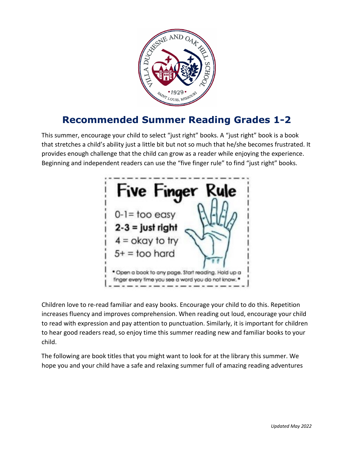

## **Recommended Summer Reading Grades 1-2**

This summer, encourage your child to select "just right" books. A "just right" book is a book that stretches a child's ability just a little bit but not so much that he/she becomes frustrated. It provides enough challenge that the child can grow as a reader while enjoying the experience. Beginning and independent readers can use the "five finger rule" to find "just right" books.



Children love to re-read familiar and easy books. Encourage your child to do this. Repetition increases fluency and improves comprehension. When reading out loud, encourage your child to read with expression and pay attention to punctuation. Similarly, it is important for children to hear good readers read, so enjoy time this summer reading new and familiar books to your child.

The following are book titles that you might want to look for at the library this summer. We hope you and your child have a safe and relaxing summer full of amazing reading adventures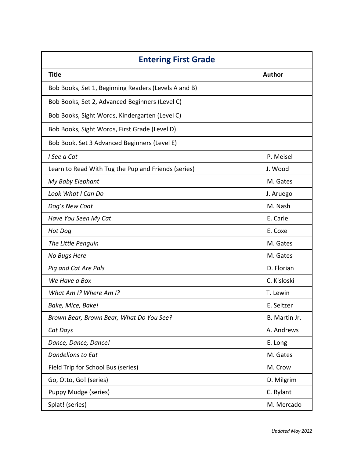| <b>Entering First Grade</b>                          |               |  |
|------------------------------------------------------|---------------|--|
| <b>Title</b>                                         | Author        |  |
| Bob Books, Set 1, Beginning Readers (Levels A and B) |               |  |
| Bob Books, Set 2, Advanced Beginners (Level C)       |               |  |
| Bob Books, Sight Words, Kindergarten (Level C)       |               |  |
| Bob Books, Sight Words, First Grade (Level D)        |               |  |
| Bob Book, Set 3 Advanced Beginners (Level E)         |               |  |
| I See a Cat                                          | P. Meisel     |  |
| Learn to Read With Tug the Pup and Friends (series)  | J. Wood       |  |
| My Baby Elephant                                     | M. Gates      |  |
| Look What I Can Do                                   | J. Aruego     |  |
| Dog's New Coat                                       | M. Nash       |  |
| Have You Seen My Cat                                 | E. Carle      |  |
| Hot Dog                                              | E. Coxe       |  |
| The Little Penguin                                   | M. Gates      |  |
| No Bugs Here                                         | M. Gates      |  |
| Pig and Cat Are Pals                                 | D. Florian    |  |
| We Have a Box                                        | C. Kisloski   |  |
| What Am I? Where Am I?                               | T. Lewin      |  |
| Bake, Mice, Bake!                                    | E. Seltzer    |  |
| Brown Bear, Brown Bear, What Do You See?             | B. Martin Jr. |  |
| Cat Days                                             | A. Andrews    |  |
| Dance, Dance, Dance!                                 | E. Long       |  |
| Dandelions to Eat                                    | M. Gates      |  |
| Field Trip for School Bus (series)                   | M. Crow       |  |
| Go, Otto, Go! (series)                               | D. Milgrim    |  |
| Puppy Mudge (series)                                 | C. Rylant     |  |
| Splat! (series)                                      | M. Mercado    |  |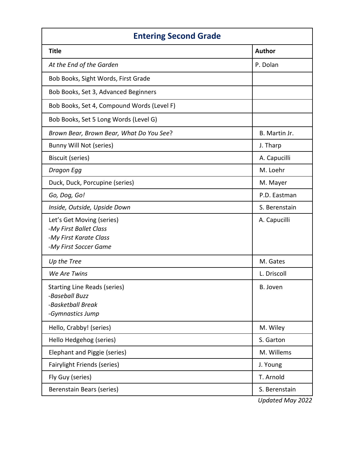| <b>Entering Second Grade</b>                                                                           |               |  |
|--------------------------------------------------------------------------------------------------------|---------------|--|
| <b>Title</b>                                                                                           | <b>Author</b> |  |
| At the End of the Garden                                                                               | P. Dolan      |  |
| Bob Books, Sight Words, First Grade                                                                    |               |  |
| Bob Books, Set 3, Advanced Beginners                                                                   |               |  |
| Bob Books, Set 4, Compound Words (Level F)                                                             |               |  |
| Bob Books, Set 5 Long Words (Level G)                                                                  |               |  |
| Brown Bear, Brown Bear, What Do You See?                                                               | B. Martin Jr. |  |
| Bunny Will Not (series)                                                                                | J. Tharp      |  |
| Biscuit (series)                                                                                       | A. Capucilli  |  |
| Dragon Egg                                                                                             | M. Loehr      |  |
| Duck, Duck, Porcupine (series)                                                                         | M. Mayer      |  |
| Go, Dog, Go!                                                                                           | P.D. Eastman  |  |
| Inside, Outside, Upside Down                                                                           | S. Berenstain |  |
| Let's Get Moving (series)<br>-My First Ballet Class<br>-My First Karate Class<br>-My First Soccer Game | A. Capucilli  |  |
| Up the Tree                                                                                            | M. Gates      |  |
| We Are Twins                                                                                           | L. Driscoll   |  |
| <b>Starting Line Reads (series)</b><br>-Baseball Buzz<br>-Basketball Break<br>-Gymnastics Jump         | B. Joven      |  |
| Hello, Crabby! (series)                                                                                | M. Wiley      |  |
| Hello Hedgehog (series)                                                                                | S. Garton     |  |
| Elephant and Piggie (series)                                                                           | M. Willems    |  |
| <b>Fairylight Friends (series)</b>                                                                     | J. Young      |  |
| Fly Guy (series)                                                                                       | T. Arnold     |  |
| Berenstain Bears (series)                                                                              | S. Berenstain |  |

*Updated May 2022*